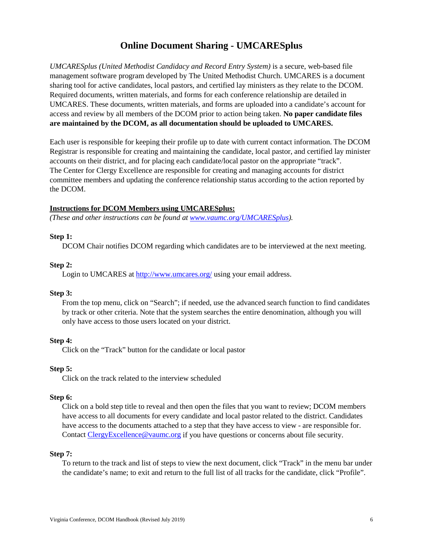# **Online Document Sharing - UMCARESplus**

*UMCARESplus (United Methodist Candidacy and Record Entry System)* is a secure, web-based file management software program developed by The United Methodist Church. UMCARES is a document sharing tool for active candidates, local pastors, and certified lay ministers as they relate to the DCOM. Required documents, written materials, and forms for each conference relationship are detailed in UMCARES. These documents, written materials, and forms are uploaded into a candidate's account for access and review by all members of the DCOM prior to action being taken. **No paper candidate files are maintained by the DCOM, as all documentation should be uploaded to UMCARES.**

Each user is responsible for keeping their profile up to date with current contact information. The DCOM Registrar is responsible for creating and maintaining the candidate, local pastor, and certified lay minister accounts on their district, and for placing each candidate/local pastor on the appropriate "track". The Center for Clergy Excellence are responsible for creating and managing accounts for district committee members and updating the conference relationship status according to the action reported by the DCOM.

## **Instructions for DCOM Members using UMCARESplus:**

*(These and other instructions can be found at [www.vaumc.org/UMCARESplus\)](http://www.vaumc.org/UMCARESplus).*

#### **Step 1:**

DCOM Chair notifies DCOM regarding which candidates are to be interviewed at the next meeting.

## **Step 2:**

Login to UMCARES at<http://www.umcares.org/> using your email address.

#### **Step 3:**

From the top menu, click on "Search"; if needed, use the advanced search function to find candidates by track or other criteria. Note that the system searches the entire denomination, although you will only have access to those users located on your district.

# **Step 4:**

Click on the "Track" button for the candidate or local pastor

#### **Step 5:**

Click on the track related to the interview scheduled

#### **Step 6:**

Click on a bold step title to reveal and then open the files that you want to review; DCOM members have access to all documents for every candidate and local pastor related to the district. Candidates have access to the documents attached to a step that they have access to view - are responsible for. Contact [ClergyExcellence@vaumc.org](mailto:ClergyExcellence@vaumc.org) if you have questions or concerns about file security.

#### **Step 7:**

To return to the track and list of steps to view the next document, click "Track" in the menu bar under the candidate's name; to exit and return to the full list of all tracks for the candidate, click "Profile".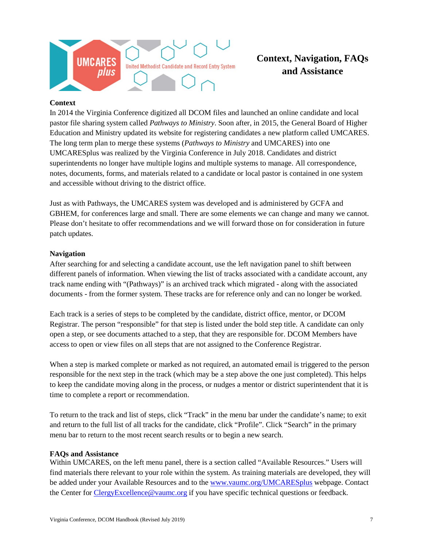

# **Context, Navigation, FAQs and Assistance**

# **Context**

In 2014 the Virginia Conference digitized all DCOM files and launched an online candidate and local pastor file sharing system called *Pathways to Ministry*. Soon after, in 2015, the General Board of Higher Education and Ministry updated its website for registering candidates a new platform called UMCARES. The long term plan to merge these systems (*Pathways to Ministry* and UMCARES) into one UMCARESplus was realized by the Virginia Conference in July 2018. Candidates and district superintendents no longer have multiple logins and multiple systems to manage. All correspondence, notes, documents, forms, and materials related to a candidate or local pastor is contained in one system and accessible without driving to the district office.

Just as with Pathways, the UMCARES system was developed and is administered by GCFA and GBHEM, for conferences large and small. There are some elements we can change and many we cannot. Please don't hesitate to offer recommendations and we will forward those on for consideration in future patch updates.

# **Navigation**

After searching for and selecting a candidate account, use the left navigation panel to shift between different panels of information. When viewing the list of tracks associated with a candidate account, any track name ending with "(Pathways)" is an archived track which migrated - along with the associated documents - from the former system. These tracks are for reference only and can no longer be worked.

Each track is a series of steps to be completed by the candidate, district office, mentor, or DCOM Registrar. The person "responsible" for that step is listed under the bold step title. A candidate can only open a step, or see documents attached to a step, that they are responsible for. DCOM Members have access to open or view files on all steps that are not assigned to the Conference Registrar.

When a step is marked complete or marked as not required, an automated email is triggered to the person responsible for the next step in the track (which may be a step above the one just completed). This helps to keep the candidate moving along in the process, or nudges a mentor or district superintendent that it is time to complete a report or recommendation.

To return to the track and list of steps, click "Track" in the menu bar under the candidate's name; to exit and return to the full list of all tracks for the candidate, click "Profile". Click "Search" in the primary menu bar to return to the most recent search results or to begin a new search.

# **FAQs and Assistance**

Within UMCARES, on the left menu panel, there is a section called "Available Resources." Users will find materials there relevant to your role within the system. As training materials are developed, they will be added under your Available Resources and to the [www.vaumc.org/UMCARESplus](http://www.vaumc.org/UMCARESplus) webpage. Contact the Center for [ClergyExcellence@vaumc.org](mailto:ClergyExcellence@vaumc.org) if you have specific technical questions or feedback.